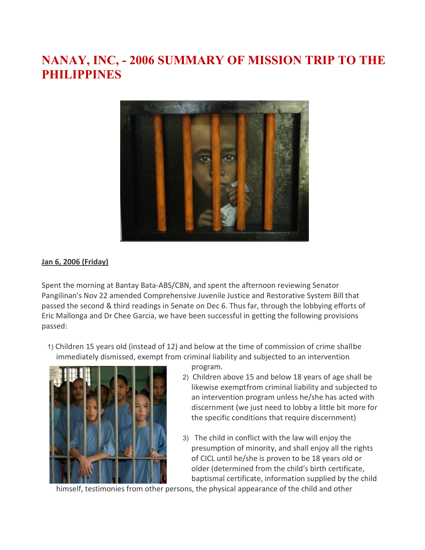# **NANAY, INC, - 2006 SUMMARY OF MISSION TRIP TO THE PHILIPPINES**



#### **Jan 6, 2006 (Friday)**

Spent the morning at Bantay Bata-ABS/CBN, and spent the afternoon reviewing Senator Pangilinan's Nov 22 amended Comprehensive Juvenile Justice and Restorative System Bill that passed the second & third readings in Senate on Dec 6. Thus far, through the lobbying efforts of Eric Mallonga and Dr Chee Garcia, we have been successful in getting the following provisions passed:

1) Children 15 years old (instead of 12) and below at the time of commission of crime shallbe immediately dismissed, exempt from criminal liability and subjected to an intervention



- program. 2) Children above 15 and below 18 years of age shall be likewise exemptfrom criminal liability and subjected to an intervention program unless he/she has acted with discernment (we just need to lobby a little bit more for the specific conditions that require discernment)
- 3) The child in conflict with the law will enjoy the presumption of minority, and shall enjoy all the rights of CICL until he/she is proven to be 18 years old or older (determined from the child's birth certificate, baptismal certificate, information supplied by the child

himself, testimonies from other persons, the physical appearance of the child and other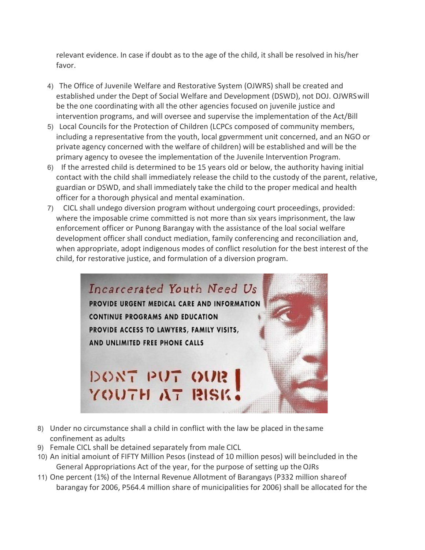relevant evidence. In case if doubt as to the age of the child, it shall be resolved in his/her favor.

- 4) The Office of Juvenile Welfare and Restorative System (OJWRS) shall be created and established under the Dept of Social Welfare and Development (DSWD), not DOJ. OJWRSwill be the one coordinating with all the other agencies focused on juvenile justice and intervention programs, and will oversee and supervise the implementation of the Act/Bill
- 5) Local Councils for the Protection of Children (LCPCs composed of community members, including a representative from the youth, local gpvermment unit concerned, and an NGO or private agency concerned with the welfare of children) will be established and will be the primary agency to ovesee the implementation of the Juvenile Intervention Program.
- 6) If the arrested child is determined to be 15 years old or below, the authority having initial contact with the child shall immediately release the child to the custody of the parent, relative, guardian or DSWD, and shall immediately take the child to the proper medical and health officer for a thorough physical and mental examination.
- 7) CICL shall undego diversion program without undergoing court proceedings, provided: where the imposable crime committed is not more than six years imprisonment, the law enforcement officer or Punong Barangay with the assistance of the loal social welfare development officer shall conduct mediation, family conferencing and reconciliation and, when appropriate, adopt indigenous modes of conflict resolution for the best interest of the child, for restorative justice, and formulation of a diversion program.



- 8) Under no circumstance shall a child in conflict with the law be placed in thesame confinement as adults
- 9) Female CICL shall be detained separately from male CICL
- 10) An initial amoiunt of FIFTY Million Pesos (instead of 10 million pesos) will beincluded in the General Appropriations Act of the year, for the purpose of setting up theOJRs
- 11) One percent (1%) of the Internal Revenue Allotment of Barangays (P332 million shareof barangay for 2006, P564.4 million share of municipalities for 2006) shall be allocated for the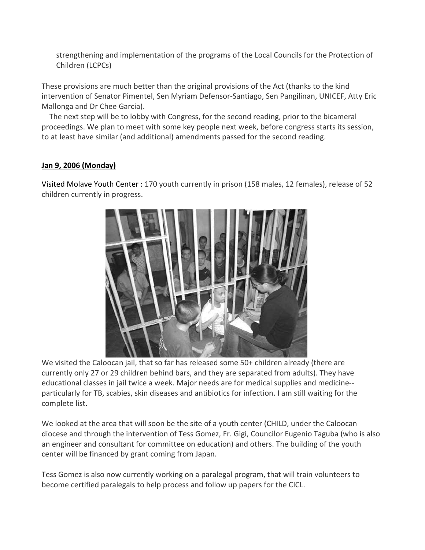strengthening and implementation of the programs of the Local Councils for the Protection of Children (LCPCs)

These provisions are much better than the original provisions of the Act (thanks to the kind intervention of Senator Pimentel, Sen Myriam Defensor-Santiago, Sen Pangilinan, UNICEF, Atty Eric Mallonga and Dr Chee Garcia).

The next step will be to lobby with Congress, for the second reading, prior to the bicameral proceedings. We plan to meet with some key people next week, before congress starts its session, to at least have similar (and additional) amendments passed for the second reading.

# **Jan 9, 2006 (Monday)**

Visited Molave Youth Center : 170 youth currently in prison (158 males, 12 females), release of 52 children currently in progress.



We visited the Caloocan jail, that so far has released some 50+ children already (there are currently only 27 or 29 children behind bars, and they are separated from adults). They have educational classes in jail twice a week. Major needs are for medical supplies and medicine- particularly for TB, scabies, skin diseases and antibiotics for infection. I am still waiting for the complete list.

We looked at the area that will soon be the site of a youth center (CHILD, under the Caloocan diocese and through the intervention of Tess Gomez, Fr. Gigi, Councilor Eugenio Taguba (who is also an engineer and consultant for committee on education) and others. The building of the youth center will be financed by grant coming from Japan.

Tess Gomez is also now currently working on a paralegal program, that will train volunteers to become certified paralegals to help process and follow up papers for the CICL.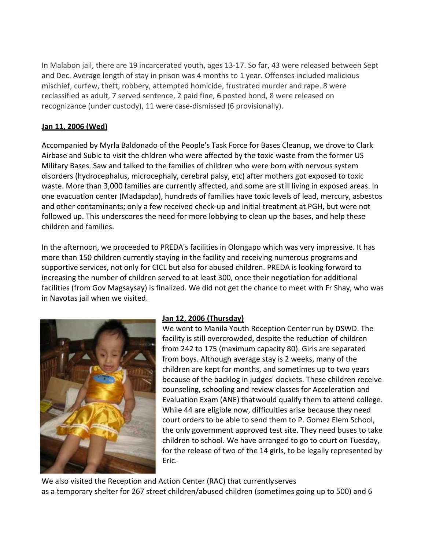In Malabon jail, there are 19 incarcerated youth, ages 13-17. So far, 43 were released between Sept and Dec. Average length of stay in prison was 4 months to 1 year. Offenses included malicious mischief, curfew, theft, robbery, attempted homicide, frustrated murder and rape. 8 were reclassified as adult, 7 served sentence, 2 paid fine, 6 posted bond, 8 were released on recognizance (under custody), 11 were case-dismissed (6 provisionally).

# **Jan 11, 2006 (Wed)**

Accompanied by Myrla Baldonado of the People's Task Force for Bases Cleanup, we drove to Clark Airbase and Subic to visit the chldren who were affected by the toxic waste from the former US Military Bases. Saw and talked to the families of children who were born with nervous system disorders (hydrocephalus, microcephaly, cerebral palsy, etc) after mothers got exposed to toxic waste. More than 3,000 families are currently affected, and some are still living in exposed areas. In one evacuation center (Madapdap), hundreds of families have toxic levels of lead, mercury, asbestos and other contaminants; only a few received check-up and initial treatment at PGH, but were not followed up. This underscores the need for more lobbying to clean up the bases, and help these children and families.

In the afternoon, we proceeded to PREDA's facilities in Olongapo which was very impressive. It has more than 150 children currently staying in the facility and receiving numerous programs and supportive services, not only for CICL but also for abused children. PREDA is looking forward to increasing the number of children served to at least 300, once their negotiation for additional facilities (from Gov Magsaysay) is finalized. We did not get the chance to meet with Fr Shay, who was in Navotas jail when we visited.



## **Jan 12, 2006 (Thursday)**

We went to Manila Youth Reception Center run by DSWD. The facility is still overcrowded, despite the reduction of children from 242 to 175 (maximum capacity 80). Girls are separated from boys. Although average stay is 2 weeks, many of the children are kept for months, and sometimes up to two years because of the backlog in judges' dockets. These children receive counseling, schooling and review classes for Acceleration and Evaluation Exam (ANE) thatwould qualify them to attend college. While 44 are eligible now, difficulties arise because they need court orders to be able to send them to P. Gomez Elem School, the only government approved test site. They need buses to take children to school. We have arranged to go to court on Tuesday, for the release of two of the 14 girls, to be legally represented by Eric.

We also visited the Reception and Action Center (RAC) that currentlyserves as a temporary shelter for 267 street children/abused children (sometimes going up to 500) and 6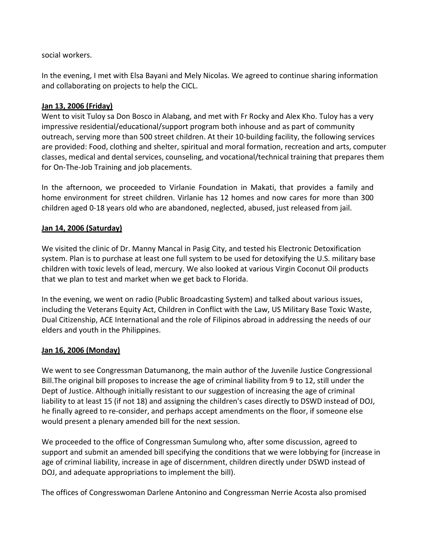social workers.

In the evening, I met with Elsa Bayani and Mely Nicolas. We agreed to continue sharing information and collaborating on projects to help the CICL.

#### **Jan 13, 2006 (Friday)**

Went to visit Tuloy sa Don Bosco in Alabang, and met with Fr Rocky and Alex Kho. Tuloy has a very impressive residential/educational/support program both inhouse and as part of community outreach, serving more than 500 street children. At their 10-building facility, the following services are provided: Food, clothing and shelter, spiritual and moral formation, recreation and arts, computer classes, medical and dental services, counseling, and vocational/technical training that prepares them for On-The-Job Training and job placements.

In the afternoon, we proceeded to Virlanie Foundation in Makati, that provides a family and home environment for street children. Virlanie has 12 homes and now cares for more than 300 children aged 0-18 years old who are abandoned, neglected, abused, just released from jail.

#### **Jan 14, 2006 (Saturday)**

We visited the clinic of Dr. Manny Mancal in Pasig City, and tested his Electronic Detoxification system. Plan is to purchase at least one full system to be used for detoxifying the U.S. military base children with toxic levels of lead, mercury. We also looked at various Virgin Coconut Oil products that we plan to test and market when we get back to Florida.

In the evening, we went on radio (Public Broadcasting System) and talked about various issues, including the Veterans Equity Act, Children in Conflict with the Law, US Military Base Toxic Waste, Dual Citizenship, ACE International and the role of Filipinos abroad in addressing the needs of our elders and youth in the Philippines.

## **Jan 16, 2006 (Monday)**

We went to see Congressman Datumanong, the main author of the Juvenile Justice Congressional Bill.The original bill proposes to increase the age of criminal liability from 9 to 12, still under the Dept of Justice. Although initially resistant to our suggestion of increasing the age of criminal liability to at least 15 (if not 18) and assigning the children's cases directly to DSWD instead of DOJ, he finally agreed to re-consider, and perhaps accept amendments on the floor, if someone else would present a plenary amended bill for the next session.

We proceeded to the office of Congressman Sumulong who, after some discussion, agreed to support and submit an amended bill specifying the conditions that we were lobbying for (increase in age of criminal liability, increase in age of discernment, children directly under DSWD instead of DOJ, and adequate appropriations to implement the bill).

The offices of Congresswoman Darlene Antonino and Congressman Nerrie Acosta also promised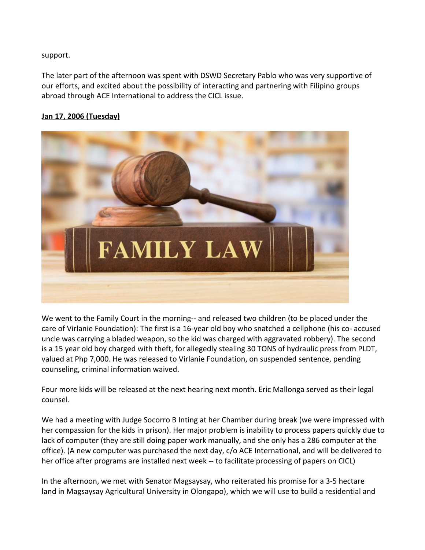support.

The later part of the afternoon was spent with DSWD Secretary Pablo who was very supportive of our efforts, and excited about the possibility of interacting and partnering with Filipino groups abroad through ACE International to address the CICL issue.

# **Jan 17, 2006 (Tuesday)**



We went to the Family Court in the morning-- and released two children (to be placed under the care of Virlanie Foundation): The first is a 16-year old boy who snatched a cellphone (his co- accused uncle was carrying a bladed weapon, so the kid was charged with aggravated robbery). The second is a 15 year old boy charged with theft, for allegedly stealing 30 TONS of hydraulic press from PLDT, valued at Php 7,000. He was released to Virlanie Foundation, on suspended sentence, pending counseling, criminal information waived.

Four more kids will be released at the next hearing next month. Eric Mallonga served as their legal counsel.

We had a meeting with Judge Socorro B Inting at her Chamber during break (we were impressed with her compassion for the kids in prison). Her major problem is inability to process papers quickly due to lack of computer (they are still doing paper work manually, and she only has a 286 computer at the office). (A new computer was purchased the next day, c/o ACE International, and will be delivered to her office after programs are installed next week -- to facilitate processing of papers on CICL)

In the afternoon, we met with Senator Magsaysay, who reiterated his promise for a 3-5 hectare land in Magsaysay Agricultural University in Olongapo), which we will use to build a residential and